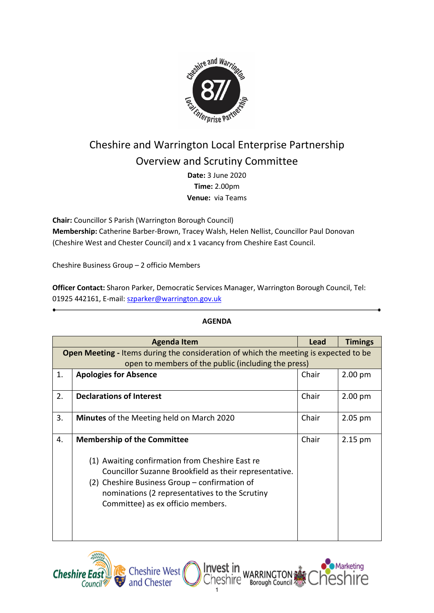

# Cheshire and Warrington Local Enterprise Partnership Overview and Scrutiny Committee

**Date:** 3 June 2020 **Time:** 2.00pm **Venue:** via Teams

**Chair:** Councillor S Parish (Warrington Borough Council)

**Membership:** Catherine Barber-Brown, Tracey Walsh, Helen Nellist, Councillor Paul Donovan (Cheshire West and Chester Council) and x 1 vacancy from Cheshire East Council.

Cheshire Business Group – 2 officio Members

**Officer Contact:** Sharon Parker, Democratic Services Manager, Warrington Borough Council, Tel: 01925 442161, E-mail: [szparker@warrington.gov.uk](mailto:szparker@warrington.gov.uk)

|    | <b>Agenda Item</b>                                                                          | Lead  | <b>Timings</b> |  |  |  |  |
|----|---------------------------------------------------------------------------------------------|-------|----------------|--|--|--|--|
|    | <b>Open Meeting - Items during the consideration of which the meeting is expected to be</b> |       |                |  |  |  |  |
|    | open to members of the public (including the press)                                         |       |                |  |  |  |  |
| 1. | <b>Apologies for Absence</b>                                                                | Chair | $2.00$ pm      |  |  |  |  |
|    |                                                                                             |       |                |  |  |  |  |
| 2. | <b>Declarations of Interest</b>                                                             | Chair | $2.00$ pm      |  |  |  |  |
|    |                                                                                             |       |                |  |  |  |  |
| 3. | <b>Minutes</b> of the Meeting held on March 2020                                            | Chair | 2.05 pm        |  |  |  |  |
|    |                                                                                             |       |                |  |  |  |  |
| 4. | <b>Membership of the Committee</b>                                                          | Chair | $2.15$ pm      |  |  |  |  |
|    |                                                                                             |       |                |  |  |  |  |
|    | (1) Awaiting confirmation from Cheshire East re                                             |       |                |  |  |  |  |
|    | Councillor Suzanne Brookfield as their representative.                                      |       |                |  |  |  |  |
|    | (2) Cheshire Business Group – confirmation of                                               |       |                |  |  |  |  |
|    | nominations (2 representatives to the Scrutiny                                              |       |                |  |  |  |  |
|    | Committee) as ex officio members.                                                           |       |                |  |  |  |  |
|    |                                                                                             |       |                |  |  |  |  |
|    |                                                                                             |       |                |  |  |  |  |
|    |                                                                                             |       |                |  |  |  |  |
|    |                                                                                             |       |                |  |  |  |  |

1

## **AGENDA**



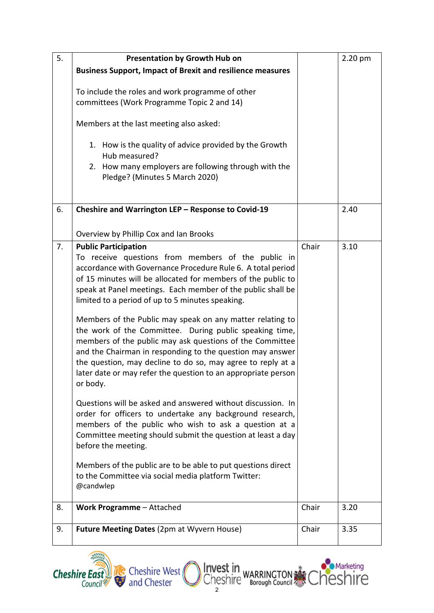| 5. | <b>Presentation by Growth Hub on</b>                                                                                                                                                                                                                                                                                                                                                                                                                                                                                                                                                                                                                                                                                                                                                                                                                                                                                                                                                                       |       | 2.20 pm |
|----|------------------------------------------------------------------------------------------------------------------------------------------------------------------------------------------------------------------------------------------------------------------------------------------------------------------------------------------------------------------------------------------------------------------------------------------------------------------------------------------------------------------------------------------------------------------------------------------------------------------------------------------------------------------------------------------------------------------------------------------------------------------------------------------------------------------------------------------------------------------------------------------------------------------------------------------------------------------------------------------------------------|-------|---------|
|    | <b>Business Support, Impact of Brexit and resilience measures</b>                                                                                                                                                                                                                                                                                                                                                                                                                                                                                                                                                                                                                                                                                                                                                                                                                                                                                                                                          |       |         |
|    | To include the roles and work programme of other<br>committees (Work Programme Topic 2 and 14)                                                                                                                                                                                                                                                                                                                                                                                                                                                                                                                                                                                                                                                                                                                                                                                                                                                                                                             |       |         |
|    | Members at the last meeting also asked:                                                                                                                                                                                                                                                                                                                                                                                                                                                                                                                                                                                                                                                                                                                                                                                                                                                                                                                                                                    |       |         |
|    | 1. How is the quality of advice provided by the Growth<br>Hub measured?<br>2. How many employers are following through with the<br>Pledge? (Minutes 5 March 2020)                                                                                                                                                                                                                                                                                                                                                                                                                                                                                                                                                                                                                                                                                                                                                                                                                                          |       |         |
| 6. | Cheshire and Warrington LEP - Response to Covid-19                                                                                                                                                                                                                                                                                                                                                                                                                                                                                                                                                                                                                                                                                                                                                                                                                                                                                                                                                         |       | 2.40    |
|    | Overview by Phillip Cox and Ian Brooks                                                                                                                                                                                                                                                                                                                                                                                                                                                                                                                                                                                                                                                                                                                                                                                                                                                                                                                                                                     |       |         |
| 7. | <b>Public Participation</b><br>To receive questions from members of the public in<br>accordance with Governance Procedure Rule 6. A total period<br>of 15 minutes will be allocated for members of the public to<br>speak at Panel meetings. Each member of the public shall be<br>limited to a period of up to 5 minutes speaking.<br>Members of the Public may speak on any matter relating to<br>the work of the Committee. During public speaking time,<br>members of the public may ask questions of the Committee<br>and the Chairman in responding to the question may answer<br>the question, may decline to do so, may agree to reply at a<br>later date or may refer the question to an appropriate person<br>or body.<br>Questions will be asked and answered without discussion. In<br>order for officers to undertake any background research,<br>members of the public who wish to ask a question at a<br>Committee meeting should submit the question at least a day<br>before the meeting. | Chair | 3.10    |
|    | Members of the public are to be able to put questions direct<br>to the Committee via social media platform Twitter:<br>@candwlep                                                                                                                                                                                                                                                                                                                                                                                                                                                                                                                                                                                                                                                                                                                                                                                                                                                                           |       |         |
| 8. | Work Programme - Attached                                                                                                                                                                                                                                                                                                                                                                                                                                                                                                                                                                                                                                                                                                                                                                                                                                                                                                                                                                                  | Chair | 3.20    |
| 9. | <b>Future Meeting Dates (2pm at Wyvern House)</b>                                                                                                                                                                                                                                                                                                                                                                                                                                                                                                                                                                                                                                                                                                                                                                                                                                                                                                                                                          | Chair | 3.35    |



*Co Marketing*<br>heshire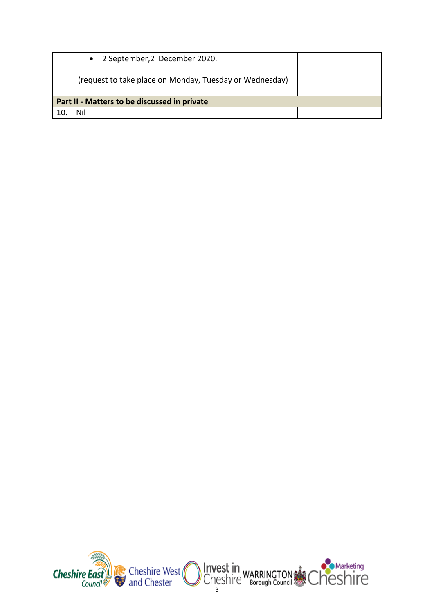|                                              | • 2 September, 2 December 2020.                         |  |  |  |  |  |  |
|----------------------------------------------|---------------------------------------------------------|--|--|--|--|--|--|
|                                              | (request to take place on Monday, Tuesday or Wednesday) |  |  |  |  |  |  |
| Part II - Matters to be discussed in private |                                                         |  |  |  |  |  |  |
|                                              | Nil                                                     |  |  |  |  |  |  |

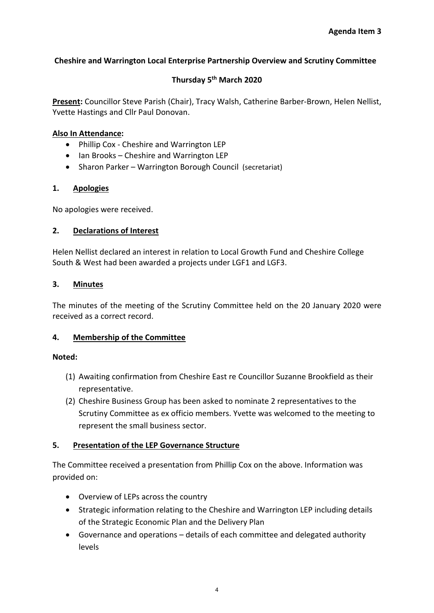# **Cheshire and Warrington Local Enterprise Partnership Overview and Scrutiny Committee**

# **Thursday 5th March 2020**

**Present:** Councillor Steve Parish (Chair), Tracy Walsh, Catherine Barber-Brown, Helen Nellist, Yvette Hastings and Cllr Paul Donovan.

## **Also In Attendance:**

- Phillip Cox Cheshire and Warrington LEP
- Ian Brooks Cheshire and Warrington LEP
- Sharon Parker Warrington Borough Council (secretariat)

## **1. Apologies**

No apologies were received.

## **2. Declarations of Interest**

Helen Nellist declared an interest in relation to Local Growth Fund and Cheshire College South & West had been awarded a projects under LGF1 and LGF3.

## **3. Minutes**

The minutes of the meeting of the Scrutiny Committee held on the 20 January 2020 were received as a correct record.

# **4. Membership of the Committee**

#### **Noted:**

- (1) Awaiting confirmation from Cheshire East re Councillor Suzanne Brookfield as their representative.
- (2) Cheshire Business Group has been asked to nominate 2 representatives to the Scrutiny Committee as ex officio members. Yvette was welcomed to the meeting to represent the small business sector.

# **5. Presentation of the LEP Governance Structure**

The Committee received a presentation from Phillip Cox on the above. Information was provided on:

- Overview of LEPs across the country
- Strategic information relating to the Cheshire and Warrington LEP including details of the Strategic Economic Plan and the Delivery Plan
- Governance and operations details of each committee and delegated authority levels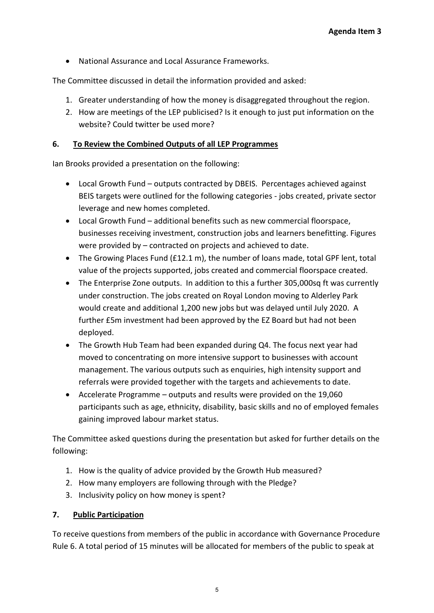• National Assurance and Local Assurance Frameworks.

The Committee discussed in detail the information provided and asked:

- 1. Greater understanding of how the money is disaggregated throughout the region.
- 2. How are meetings of the LEP publicised? Is it enough to just put information on the website? Could twitter be used more?

# **6. To Review the Combined Outputs of all LEP Programmes**

Ian Brooks provided a presentation on the following:

- Local Growth Fund outputs contracted by DBEIS. Percentages achieved against BEIS targets were outlined for the following categories - jobs created, private sector leverage and new homes completed.
- Local Growth Fund additional benefits such as new commercial floorspace, businesses receiving investment, construction jobs and learners benefitting. Figures were provided by – contracted on projects and achieved to date.
- The Growing Places Fund (£12.1 m), the number of loans made, total GPF lent, total value of the projects supported, jobs created and commercial floorspace created.
- The Enterprise Zone outputs. In addition to this a further 305,000sq ft was currently under construction. The jobs created on Royal London moving to Alderley Park would create and additional 1,200 new jobs but was delayed until July 2020. A further £5m investment had been approved by the EZ Board but had not been deployed.
- The Growth Hub Team had been expanded during Q4. The focus next year had moved to concentrating on more intensive support to businesses with account management. The various outputs such as enquiries, high intensity support and referrals were provided together with the targets and achievements to date.
- Accelerate Programme outputs and results were provided on the 19,060 participants such as age, ethnicity, disability, basic skills and no of employed females gaining improved labour market status.

The Committee asked questions during the presentation but asked for further details on the following:

- 1. How is the quality of advice provided by the Growth Hub measured?
- 2. How many employers are following through with the Pledge?
- 3. Inclusivity policy on how money is spent?

# **7. Public Participation**

To receive questions from members of the public in accordance with Governance Procedure Rule 6. A total period of 15 minutes will be allocated for members of the public to speak at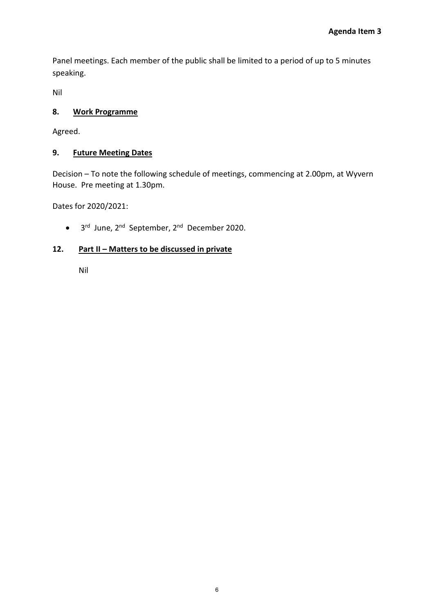Panel meetings. Each member of the public shall be limited to a period of up to 5 minutes speaking.

Nil

# **8. Work Programme**

Agreed.

## **9. Future Meeting Dates**

Decision – To note the following schedule of meetings, commencing at 2.00pm, at Wyvern House. Pre meeting at 1.30pm.

Dates for 2020/2021:

• 3rd June, 2nd September, 2nd December 2020.

# **12. Part II – Matters to be discussed in private**

Nil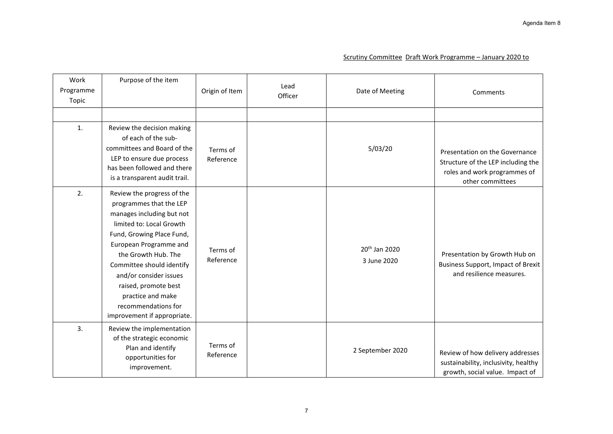#### Scrutiny Committee Draft Work Programme – January 2020 to

| Work<br>Programme<br>Topic | Purpose of the item                                                                                                                                                                                                                                                                                                                                    | Origin of Item        | Lead<br>Officer | Date of Meeting                          | Comments                                                                                                                 |
|----------------------------|--------------------------------------------------------------------------------------------------------------------------------------------------------------------------------------------------------------------------------------------------------------------------------------------------------------------------------------------------------|-----------------------|-----------------|------------------------------------------|--------------------------------------------------------------------------------------------------------------------------|
|                            |                                                                                                                                                                                                                                                                                                                                                        |                       |                 |                                          |                                                                                                                          |
| 1.                         | Review the decision making<br>of each of the sub-<br>committees and Board of the<br>LEP to ensure due process<br>has been followed and there<br>is a transparent audit trail.                                                                                                                                                                          | Terms of<br>Reference |                 | 5/03/20                                  | Presentation on the Governance<br>Structure of the LEP including the<br>roles and work programmes of<br>other committees |
| 2.                         | Review the progress of the<br>programmes that the LEP<br>manages including but not<br>limited to: Local Growth<br>Fund, Growing Place Fund,<br>European Programme and<br>the Growth Hub. The<br>Committee should identify<br>and/or consider issues<br>raised, promote best<br>practice and make<br>recommendations for<br>improvement if appropriate. | Terms of<br>Reference |                 | 20 <sup>th</sup> Jan 2020<br>3 June 2020 | Presentation by Growth Hub on<br><b>Business Support, Impact of Brexit</b><br>and resilience measures.                   |
| 3.                         | Review the implementation<br>of the strategic economic<br>Plan and identify<br>opportunities for<br>improvement.                                                                                                                                                                                                                                       | Terms of<br>Reference |                 | 2 September 2020                         | Review of how delivery addresses<br>sustainability, inclusivity, healthy<br>growth, social value. Impact of              |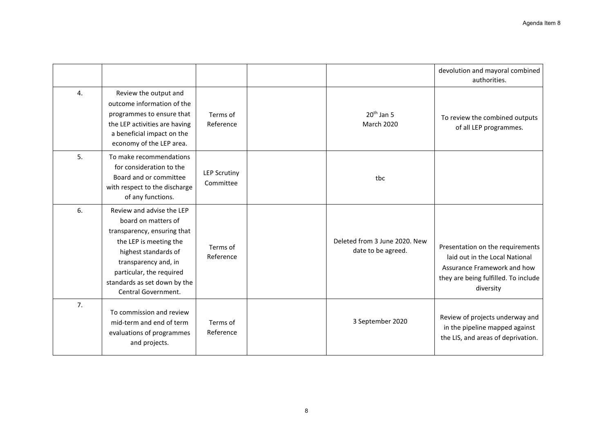|    |                                                                                                                                                                                                                                              |                                  |                                                     | devolution and mayoral combined<br>authorities.                                                                                                        |
|----|----------------------------------------------------------------------------------------------------------------------------------------------------------------------------------------------------------------------------------------------|----------------------------------|-----------------------------------------------------|--------------------------------------------------------------------------------------------------------------------------------------------------------|
| 4. | Review the output and<br>outcome information of the<br>programmes to ensure that<br>the LEP activities are having<br>a beneficial impact on the<br>economy of the LEP area.                                                                  | Terms of<br>Reference            | $20th$ Jan 5<br>March 2020                          | To review the combined outputs<br>of all LEP programmes.                                                                                               |
| 5. | To make recommendations<br>for consideration to the<br>Board and or committee<br>with respect to the discharge<br>of any functions.                                                                                                          | <b>LEP Scrutiny</b><br>Committee | tbc                                                 |                                                                                                                                                        |
| 6. | Review and advise the LEP<br>board on matters of<br>transparency, ensuring that<br>the LEP is meeting the<br>highest standards of<br>transparency and, in<br>particular, the required<br>standards as set down by the<br>Central Government. | Terms of<br>Reference            | Deleted from 3 June 2020. New<br>date to be agreed. | Presentation on the requirements<br>laid out in the Local National<br>Assurance Framework and how<br>they are being fulfilled. To include<br>diversity |
| 7. | To commission and review<br>mid-term and end of term<br>evaluations of programmes<br>and projects.                                                                                                                                           | Terms of<br>Reference            | 3 September 2020                                    | Review of projects underway and<br>in the pipeline mapped against<br>the LIS, and areas of deprivation.                                                |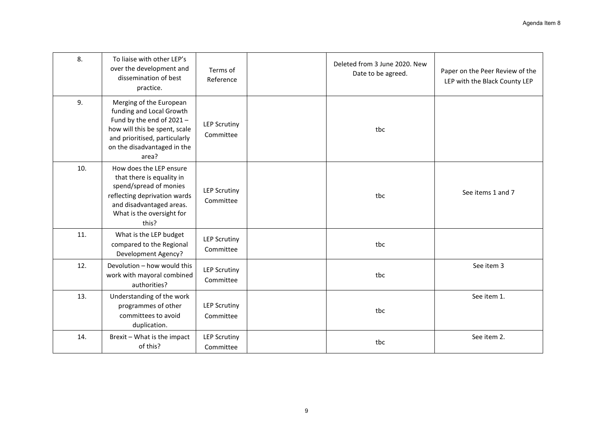| 8.  | To liaise with other LEP's<br>over the development and<br>dissemination of best<br>practice.                                                                                              | Terms of<br>Reference            | Deleted from 3 June 2020. New<br>Date to be agreed. | Paper on the Peer Review of the<br>LEP with the Black County LEP |
|-----|-------------------------------------------------------------------------------------------------------------------------------------------------------------------------------------------|----------------------------------|-----------------------------------------------------|------------------------------------------------------------------|
| 9.  | Merging of the European<br>funding and Local Growth<br>Fund by the end of 2021-<br>how will this be spent, scale<br>and prioritised, particularly<br>on the disadvantaged in the<br>area? | <b>LEP Scrutiny</b><br>Committee | tbc                                                 |                                                                  |
| 10. | How does the LEP ensure<br>that there is equality in<br>spend/spread of monies<br>reflecting deprivation wards<br>and disadvantaged areas.<br>What is the oversight for<br>this?          | <b>LEP Scrutiny</b><br>Committee | tbc                                                 | See items 1 and 7                                                |
| 11. | What is the LEP budget<br>compared to the Regional<br>Development Agency?                                                                                                                 | <b>LEP Scrutiny</b><br>Committee | tbc                                                 |                                                                  |
| 12. | Devolution - how would this<br>work with mayoral combined<br>authorities?                                                                                                                 | <b>LEP Scrutiny</b><br>Committee | tbc                                                 | See item 3                                                       |
| 13. | Understanding of the work<br>programmes of other<br>committees to avoid<br>duplication.                                                                                                   | <b>LEP Scrutiny</b><br>Committee | tbc                                                 | See item 1.                                                      |
| 14. | Brexit - What is the impact<br>of this?                                                                                                                                                   | <b>LEP Scrutiny</b><br>Committee | tbc                                                 | See item 2.                                                      |